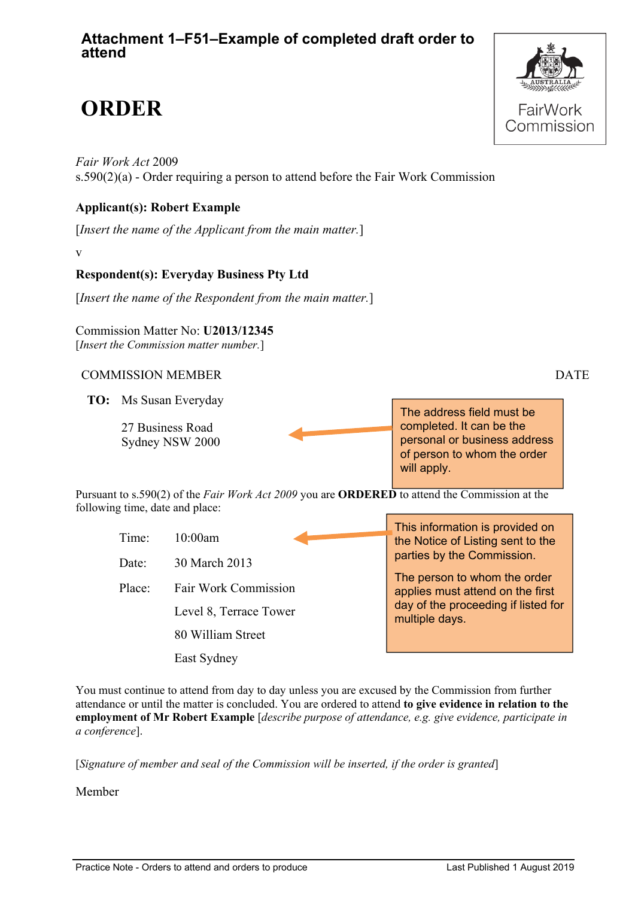## **Attachment 1–F51–Example of completed draft order to attend**

# **ORDER**

*Fair Work Act* 2009 s.590(2)(a) - Order requiring a person to attend before the Fair Work Commission

#### **Applicant(s): Robert Example**

[*Insert the name of the Applicant from the main matter.*]

v

### **Respondent(s): Everyday Business Pty Ltd**

[*Insert the name of the Respondent from the main matter.*]

Commission Matter No: **U2013/12345** [*Insert the Commission matter number.*]

#### COMMISSION MEMBER DATE

**TO:** Ms Susan Everyday

27 Business Road Sydney NSW 2000

The address field must be completed. It can be the personal or business address of person to whom the order will apply.

Pursuant to s.590(2) of the *Fair Work Act 2009* you are **ORDERED** to attend the Commission at the following time, date and place:

|        |                        | This information is provided on                                  |
|--------|------------------------|------------------------------------------------------------------|
| Time:  | 10:00am                | the Notice of Listing sent to the                                |
| Date:  | 30 March 2013          | parties by the Commission.                                       |
| Place: | Fair Work Commission   | The person to whom the order<br>applies must attend on the first |
|        | Level 8, Terrace Tower | day of the proceeding if listed for<br>multiple days.            |
|        | 80 William Street      |                                                                  |
|        | East Sydney            |                                                                  |

You must continue to attend from day to day unless you are excused by the Commission from further attendance or until the matter is concluded. You are ordered to attend **to give evidence in relation to the employment of Mr Robert Example** [*describe purpose of attendance, e.g. give evidence, participate in a conference*].

[*Signature of member and seal of the Commission will be inserted, if the order is granted*]

Member



Practice Note - Orders to attend and orders to produce Last Published 1 August 2019